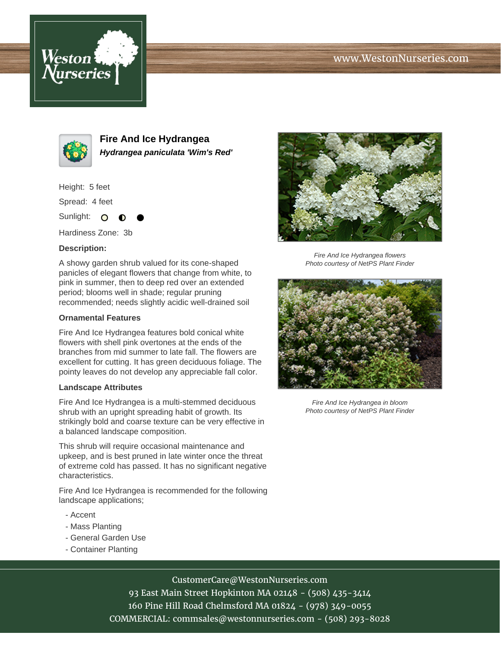# www.WestonNurseries.com





**Fire And Ice Hydrangea Hydrangea paniculata 'Wim's Red'**

Height: 5 feet

Spread: 4 feet

Sunlight: O

Hardiness Zone: 3b

### **Description:**

A showy garden shrub valued for its cone-shaped panicles of elegant flowers that change from white, to pink in summer, then to deep red over an extended period; blooms well in shade; regular pruning recommended; needs slightly acidic well-drained soil

#### **Ornamental Features**

Fire And Ice Hydrangea features bold conical white flowers with shell pink overtones at the ends of the branches from mid summer to late fall. The flowers are excellent for cutting. It has green deciduous foliage. The pointy leaves do not develop any appreciable fall color.

## **Landscape Attributes**

Fire And Ice Hydrangea is a multi-stemmed deciduous shrub with an upright spreading habit of growth. Its strikingly bold and coarse texture can be very effective in a balanced landscape composition.

This shrub will require occasional maintenance and upkeep, and is best pruned in late winter once the threat of extreme cold has passed. It has no significant negative characteristics.

Fire And Ice Hydrangea is recommended for the following landscape applications;

- Accent
- Mass Planting
- General Garden Use
- Container Planting



Fire And Ice Hydrangea flowers Photo courtesy of NetPS Plant Finder



Fire And Ice Hydrangea in bloom Photo courtesy of NetPS Plant Finder

# CustomerCare@WestonNurseries.com

93 East Main Street Hopkinton MA 02148 - (508) 435-3414 160 Pine Hill Road Chelmsford MA 01824 - (978) 349-0055 COMMERCIAL: commsales@westonnurseries.com - (508) 293-8028